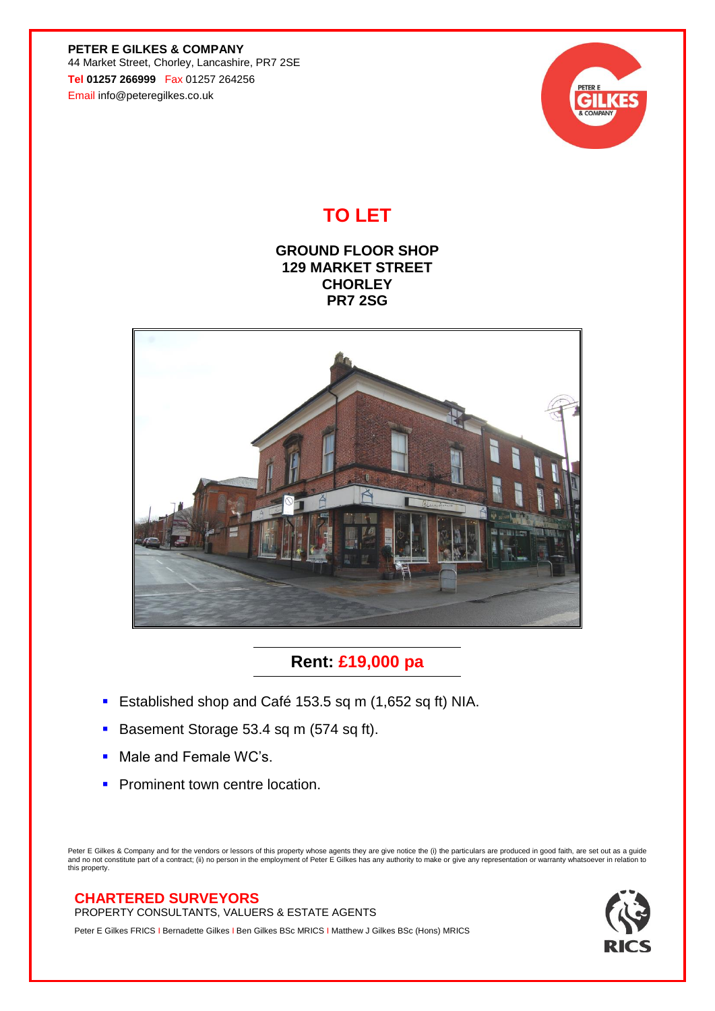**PETER E GILKES & COMPANY** 44 Market Street, Chorley, Lancashire, PR7 2SE **Tel 01257 266999** Fax 01257 264256 Email info@peteregilkes.co.uk



## **TO LET**

**GROUND FLOOR SHOP 129 MARKET STREET CHORLEY PR7 2SG**



**Rent: £19,000 pa**

- **Established shop and Café 153.5 sq m (1,652 sq ft) NIA.**
- Basement Storage 53.4 sq m (574 sq ft).
- Male and Female WC's.
- **Prominent town centre location.**

Peter E Gilkes & Company and for the vendors or lessors of this property whose agents they are give notice the (i) the particulars are produced in good faith, are set out as a guide<br>and no not constitute part of a contract this property.

## **CHARTERED SURVEYORS**

PROPERTY CONSULTANTS, VALUERS & ESTATE AGENTS

Peter E Gilkes FRICS I Bernadette Gilkes I Ben Gilkes BSc MRICS I Matthew J Gilkes BSc (Hons) MRICS

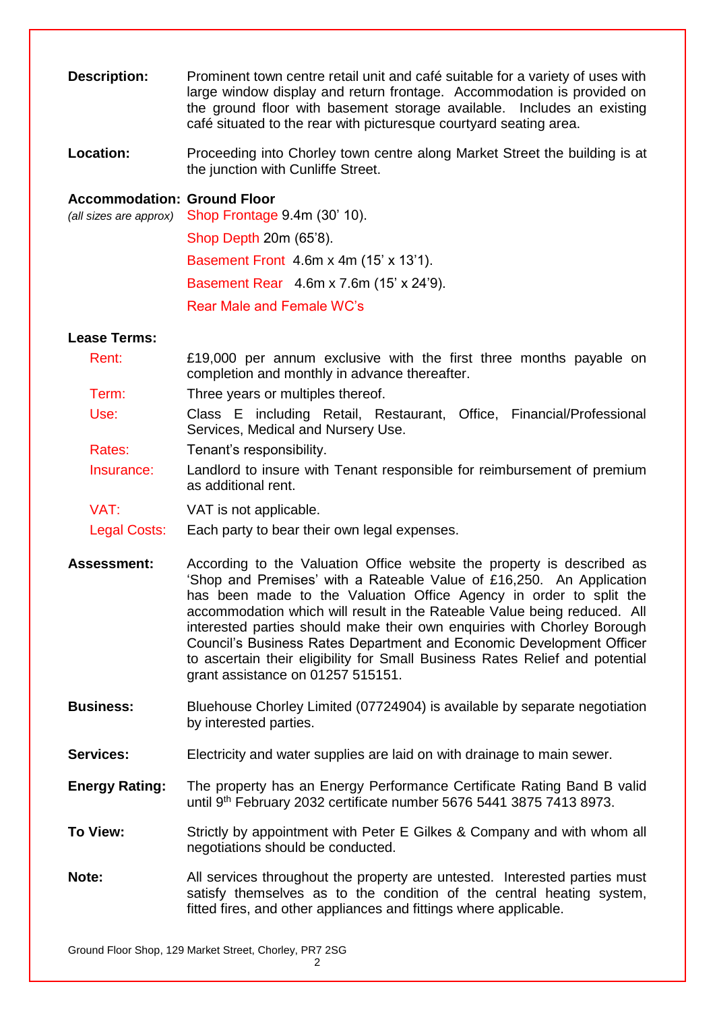| <b>Description:</b>                | Prominent town centre retail unit and café suitable for a variety of uses with<br>large window display and return frontage. Accommodation is provided on<br>the ground floor with basement storage available. Includes an existing<br>café situated to the rear with picturesque courtyard seating area.                                                                                                                                                                                                                                                                 |
|------------------------------------|--------------------------------------------------------------------------------------------------------------------------------------------------------------------------------------------------------------------------------------------------------------------------------------------------------------------------------------------------------------------------------------------------------------------------------------------------------------------------------------------------------------------------------------------------------------------------|
| Location:                          | Proceeding into Chorley town centre along Market Street the building is at<br>the junction with Cunliffe Street.                                                                                                                                                                                                                                                                                                                                                                                                                                                         |
| <b>Accommodation: Ground Floor</b> | (all sizes are approx) Shop Frontage 9.4m (30' 10).                                                                                                                                                                                                                                                                                                                                                                                                                                                                                                                      |
|                                    | Shop Depth 20m (65'8).                                                                                                                                                                                                                                                                                                                                                                                                                                                                                                                                                   |
|                                    | Basement Front 4.6m x 4m (15' x 13'1).                                                                                                                                                                                                                                                                                                                                                                                                                                                                                                                                   |
|                                    | Basement Rear 4.6m x 7.6m (15' x 24'9).                                                                                                                                                                                                                                                                                                                                                                                                                                                                                                                                  |
|                                    | Rear Male and Female WC's                                                                                                                                                                                                                                                                                                                                                                                                                                                                                                                                                |
| <b>Lease Terms:</b>                |                                                                                                                                                                                                                                                                                                                                                                                                                                                                                                                                                                          |
| Rent:                              | £19,000 per annum exclusive with the first three months payable on<br>completion and monthly in advance thereafter.                                                                                                                                                                                                                                                                                                                                                                                                                                                      |
| Term:                              | Three years or multiples thereof.                                                                                                                                                                                                                                                                                                                                                                                                                                                                                                                                        |
| Use:                               | Class E including Retail, Restaurant, Office, Financial/Professional<br>Services, Medical and Nursery Use.                                                                                                                                                                                                                                                                                                                                                                                                                                                               |
| Rates:                             | Tenant's responsibility.                                                                                                                                                                                                                                                                                                                                                                                                                                                                                                                                                 |
| Insurance:                         | Landlord to insure with Tenant responsible for reimbursement of premium<br>as additional rent.                                                                                                                                                                                                                                                                                                                                                                                                                                                                           |
| VAT:                               | VAT is not applicable.                                                                                                                                                                                                                                                                                                                                                                                                                                                                                                                                                   |
| Legal Costs:                       | Each party to bear their own legal expenses.                                                                                                                                                                                                                                                                                                                                                                                                                                                                                                                             |
| <b>Assessment:</b>                 | According to the Valuation Office website the property is described as<br>'Shop and Premises' with a Rateable Value of £16,250. An Application<br>has been made to the Valuation Office Agency in order to split the<br>accommodation which will result in the Rateable Value being reduced. All<br>interested parties should make their own enquiries with Chorley Borough<br>Council's Business Rates Department and Economic Development Officer<br>to ascertain their eligibility for Small Business Rates Relief and potential<br>grant assistance on 01257 515151. |
| <b>Business:</b>                   | Bluehouse Chorley Limited (07724904) is available by separate negotiation<br>by interested parties.                                                                                                                                                                                                                                                                                                                                                                                                                                                                      |
| <b>Services:</b>                   | Electricity and water supplies are laid on with drainage to main sewer.                                                                                                                                                                                                                                                                                                                                                                                                                                                                                                  |
| <b>Energy Rating:</b>              | The property has an Energy Performance Certificate Rating Band B valid<br>until 9th February 2032 certificate number 5676 5441 3875 7413 8973.                                                                                                                                                                                                                                                                                                                                                                                                                           |
| To View:                           | Strictly by appointment with Peter E Gilkes & Company and with whom all<br>negotiations should be conducted.                                                                                                                                                                                                                                                                                                                                                                                                                                                             |
| Note:                              | All services throughout the property are untested. Interested parties must<br>satisfy themselves as to the condition of the central heating system,<br>fitted fires, and other appliances and fittings where applicable.                                                                                                                                                                                                                                                                                                                                                 |